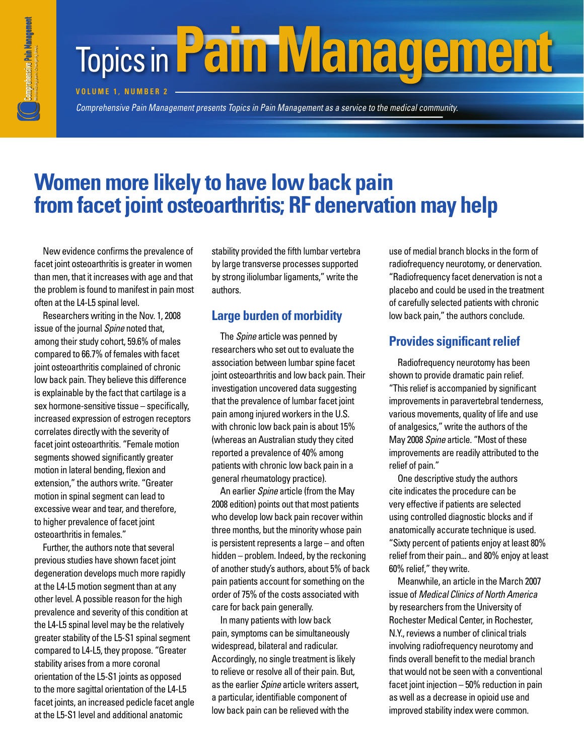# **Topics in Pain Management**

**VOLUME 1. NUMBER 2** 

*Comprehensive Pain Management presents Topics in Pain Management as a service to the medical community. Comprehensive Pain Management presents* 

# **Women more likely to have low back pain** from facet joint osteoarthritis; RF denervation may help

New evidence confirms the prevalence of facet joint osteoarthritis is greater in women than men, that it increases with age and that the problem is found to manifest in pain most often at the L4-L5 spinal level.

Researchers writing in the Nov. 1, 2008 issue of the journal *Spine* noted that, among their study cohort, 59.6% of males compared to 66.7% of females with facet joint osteoarthritis complained of chronic low back pain. They believe this difference is explainable by the fact that cartilage is a sex hormone-sensitive tissue – specifically, increased expression of estrogen receptors correlates directly with the severity of facet joint osteoarthritis. "Female motion segments showed significantly greater motion in lateral bending, flexion and extension," the authors write. "Greater motion in spinal segment can lead to excessive wear and tear, and therefore, to higher prevalence of facet joint osteoarthritis in females."

Further, the authors note that several previous studies have shown facet joint degeneration develops much more rapidly at the L4-L5 motion segment than at any other level. A possible reason for the high prevalence and severity of this condition at the L4-L5 spinal level may be the relatively greater stability of the L5-S1 spinal segment compared to L4-L5, they propose. "Greater stability arises from a more coronal orientation of the L5-S1 joints as opposed to the more sagittal orientation of the L4-L5 facet joints, an increased pedicle facet angle at the L5-S1 level and additional anatomic

stability provided the fifth lumbar vertebra by large transverse processes supported by strong iliolumbar ligaments," write the authors.

## **Large burden of morbidity**

The *Spine* article was penned by researchers who set out to evaluate the association between lumbar spine facet joint osteoarthritis and low back pain. Their investigation uncovered data suggesting that the prevalence of lumbar facet joint pain among injured workers in the U.S. with chronic low back pain is about 15% (whereas an Australian study they cited reported a prevalence of 40% among patients with chronic low back pain in a general rheumatology practice).

An earlier *Spine* article (from the May 2008 edition) points out that most patients who develop low back pain recover within three months, but the minority whose pain is persistent represents a large – and often hidden – problem. Indeed, by the reckoning of another study's authors, about 5% of back pain patients account for something on the order of 75% of the costs associated with care for back pain generally.

In many patients with low back pain, symptoms can be simultaneously widespread, bilateral and radicular. Accordingly, no single treatment is likely to relieve or resolve all of their pain. But, as the earlier *Spine* article writers assert, a particular, identifiable component of low back pain can be relieved with the

use of medial branch blocks in the form of radiofrequency neurotomy, or denervation. "Radiofrequency facet denervation is not a placebo and could be used in the treatment of carefully selected patients with chronic low back pain," the authors conclude.

# **Provides significant relief**

Radiofrequency neurotomy has been shown to provide dramatic pain relief. "This relief is accompanied by significant improvements in paravertebral tenderness, various movements, quality of life and use of analgesics," write the authors of the May 2008 *Spine* article. "Most of these improvements are readily attributed to the relief of pain."

One descriptive study the authors cite indicates the procedure can be very effective if patients are selected using controlled diagnostic blocks and if anatomically accurate technique is used. "Sixty percent of patients enjoy at least 80% relief from their pain... and 80% enjoy at least 60% relief," they write.

Meanwhile, an article in the March 2007 issue of *Medical Clinics of North America*  by researchers from the University of Rochester Medical Center, in Rochester, N.Y., reviews a number of clinical trials involving radiofrequency neurotomy and finds overall benefit to the medial branch that would not be seen with a conventional facet joint injection – 50% reduction in pain as well as a decrease in opioid use and improved stability index were common.